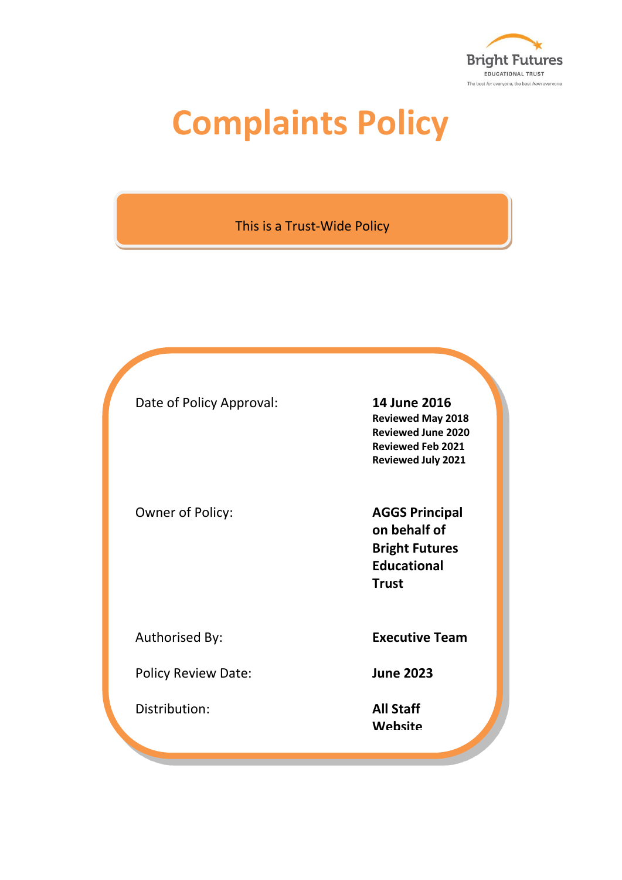

# **Complaints Policy**

This is a Trust-Wide Policy

Date of Policy Approval: **14 June 2016**

Owner of Policy: **AGGS Principal** 

Policy Review Date: **June 2023**

Distribution: **All Staff**

**Reviewed May 2018 Reviewed June 2020 Reviewed Feb 2021 Reviewed July 2021**

**on behalf of Bright Futures Educational Trust**

Authorised By: **Executive Team**

**Website**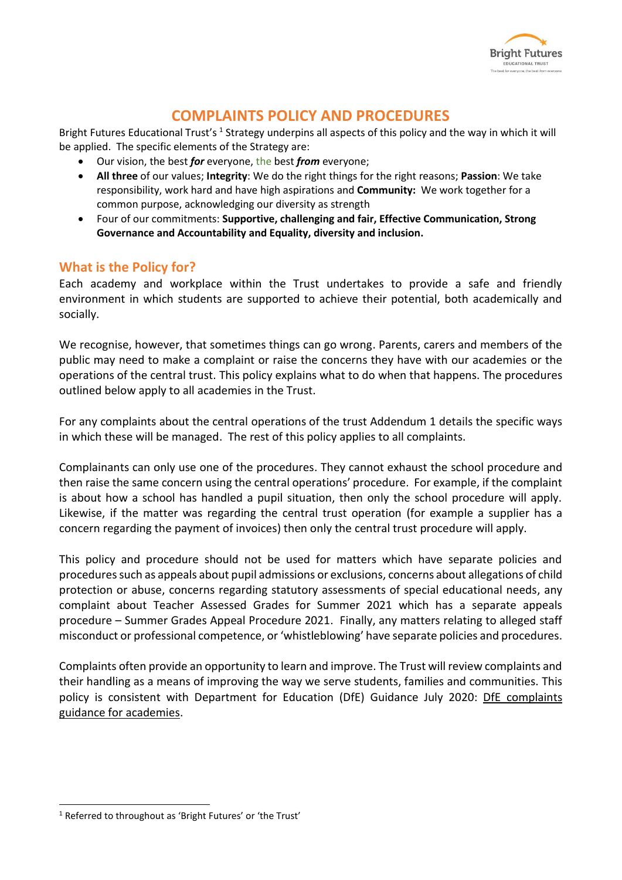

## **COMPLAINTS POLICY AND PROCEDURES**

Bright Futures Educational Trust's <sup>1</sup> Strategy underpins all aspects of this policy and the way in which it will be applied. The specific elements of the Strategy are:

- Our vision, the best *for* everyone, the best *from* everyone;
- **All three** of our values; **Integrity**: We do the right things for the right reasons; **Passion**: We take responsibility, work hard and have high aspirations and **Community:** We work together for a common purpose, acknowledging our diversity as strength
- Four of our commitments: **Supportive, challenging and fair, Effective Communication, Strong Governance and Accountability and Equality, diversity and inclusion.**

#### **What is the Policy for?**

Each academy and workplace within the Trust undertakes to provide a safe and friendly environment in which students are supported to achieve their potential, both academically and socially.

We recognise, however, that sometimes things can go wrong. Parents, carers and members of the public may need to make a complaint or raise the concerns they have with our academies or the operations of the central trust. This policy explains what to do when that happens. The procedures outlined below apply to all academies in the Trust.

For any complaints about the central operations of the trust Addendum 1 details the specific ways in which these will be managed. The rest of this policy applies to all complaints.

Complainants can only use one of the procedures. They cannot exhaust the school procedure and then raise the same concern using the central operations' procedure. For example, if the complaint is about how a school has handled a pupil situation, then only the school procedure will apply. Likewise, if the matter was regarding the central trust operation (for example a supplier has a concern regarding the payment of invoices) then only the central trust procedure will apply.

This policy and procedure should not be used for matters which have separate policies and procedures such as appeals about pupil admissions or exclusions, concerns about allegations of child protection or abuse, concerns regarding statutory assessments of special educational needs, any complaint about Teacher Assessed Grades for Summer 2021 which has a separate appeals procedure – Summer Grades Appeal Procedure 2021. Finally, any matters relating to alleged staff misconduct or professional competence, or 'whistleblowing' have separate policies and procedures.

Complaints often provide an opportunity to learn and improve. The Trust will review complaints and their handling as a means of improving the way we serve students, families and communities. This policy is consistent with Department for Education (DfE) Guidance July 2020: [DfE complaints](https://www.gov.uk/government/publications/setting-up-an-academies-complaints-procedure/best-practice-guidance-for-academies-complaints-procedures)  [guidance for academies.](https://www.gov.uk/government/publications/setting-up-an-academies-complaints-procedure/best-practice-guidance-for-academies-complaints-procedures)

 $\overline{a}$ 

<sup>1</sup> Referred to throughout as 'Bright Futures' or 'the Trust'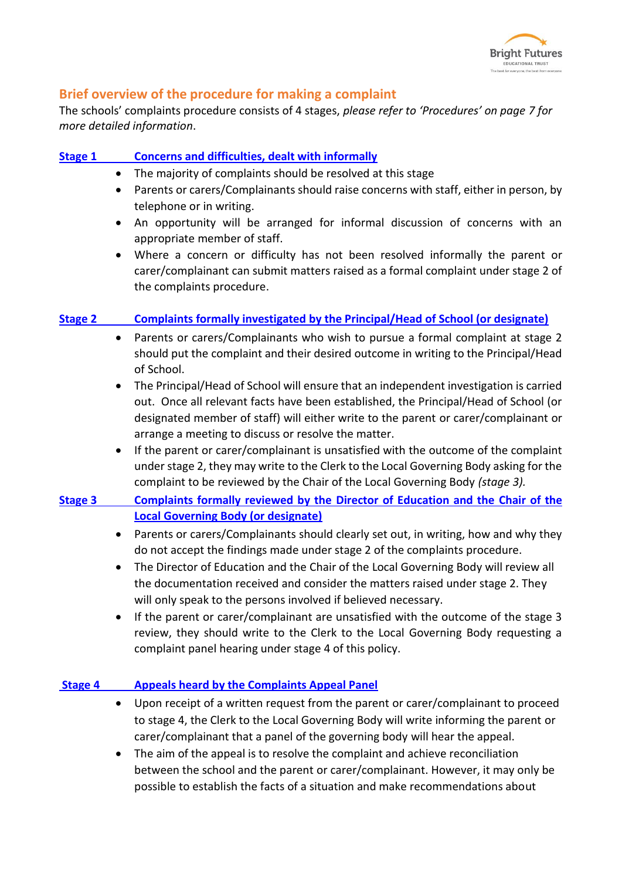

#### **Brief overview of the procedure for making a complaint**

The schools' complaints procedure consists of 4 stages, *please refer to 'Procedures' on page 7 for more detailed information*.

#### **Stage 1 [Concerns and difficulties, dealt with informally](#page-7-0)**

- The majority of complaints should be resolved at this stage
- Parents or carers/Complainants should raise concerns with staff, either in person, by telephone or in writing.
- An opportunity will be arranged for informal discussion of concerns with an appropriate member of staff.
- Where a concern or difficulty has not been resolved informally the parent or carer/complainant can submit matters raised as a formal complaint under stage 2 of the complaints procedure.

#### **Stage 2 [Complaints formally investigated by the Principal/Head of School \(or designate\)](#page-7-1)**

- Parents or carers/Complainants who wish to pursue a formal complaint at stage 2 should put the complaint and their desired outcome in writing to the Principal/Head of School.
- The Principal/Head of School will ensure that an independent investigation is carried out. Once all relevant facts have been established, the Principal/Head of School (or designated member of staff) will either write to the parent or carer/complainant or arrange a meeting to discuss or resolve the matter.
- If the parent or carer/complainant is unsatisfied with the outcome of the complaint under stage 2, they may write to the Clerk to the Local Governing Body asking for the complaint to be reviewed by the Chair of the Local Governing Body *(stage 3).*
- **Stage 3 [Complaints formally reviewed by the Director of Education and the Chair of the](#page-8-0)  [Local Governing Body \(or designate\)](#page-8-0)**
	- Parents or carers/Complainants should clearly set out, in writing, how and why they do not accept the findings made under stage 2 of the complaints procedure.
	- The Director of Education and the Chair of the Local Governing Body will review all the documentation received and consider the matters raised under stage 2. They will only speak to the persons involved if believed necessary.
	- If the parent or carer/complainant are unsatisfied with the outcome of the stage 3 review, they should write to the Clerk to the Local Governing Body requesting a complaint panel hearing under stage 4 of this policy.

#### **Stage 4 [Appeals heard by the Complaints Appeal Panel](#page-10-0)**

- Upon receipt of a written request from the parent or carer/complainant to proceed to stage 4, the Clerk to the Local Governing Body will write informing the parent or carer/complainant that a panel of the governing body will hear the appeal.
- The aim of the appeal is to resolve the complaint and achieve reconciliation between the school and the parent or carer/complainant. However, it may only be possible to establish the facts of a situation and make recommendations about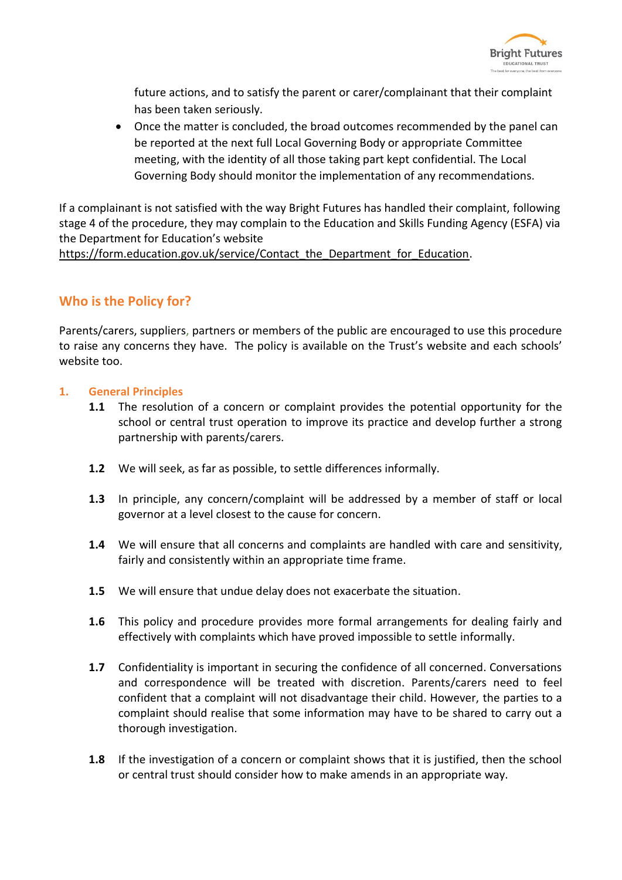

future actions, and to satisfy the parent or carer/complainant that their complaint has been taken seriously.

 Once the matter is concluded, the broad outcomes recommended by the panel can be reported at the next full Local Governing Body or appropriate Committee meeting, with the identity of all those taking part kept confidential. The Local Governing Body should monitor the implementation of any recommendations.

If a complainant is not satisfied with the way Bright Futures has handled their complaint, following stage 4 of the procedure, they may complain to the Education and Skills Funding Agency (ESFA) via the Department for Education's website

[https://form.education.gov.uk/service/Contact\\_the\\_Department\\_for\\_Education.](https://form.education.gov.uk/service/Contact_the_Department_for_Education)

### **Who is the Policy for?**

Parents/carers, suppliers, partners or members of the public are encouraged to use this procedure to raise any concerns they have. The policy is available on the Trust's website and each schools' website too.

#### **1. General Principles**

- **1.1** The resolution of a concern or complaint provides the potential opportunity for the school or central trust operation to improve its practice and develop further a strong partnership with parents/carers.
- **1.2** We will seek, as far as possible, to settle differences informally.
- **1.3** In principle, any concern/complaint will be addressed by a member of staff or local governor at a level closest to the cause for concern.
- **1.4** We will ensure that all concerns and complaints are handled with care and sensitivity, fairly and consistently within an appropriate time frame.
- **1.5** We will ensure that undue delay does not exacerbate the situation.
- **1.6** This policy and procedure provides more formal arrangements for dealing fairly and effectively with complaints which have proved impossible to settle informally.
- **1.7** Confidentiality is important in securing the confidence of all concerned. Conversations and correspondence will be treated with discretion. Parents/carers need to feel confident that a complaint will not disadvantage their child. However, the parties to a complaint should realise that some information may have to be shared to carry out a thorough investigation.
- **1.8** If the investigation of a concern or complaint shows that it is justified, then the school or central trust should consider how to make amends in an appropriate way.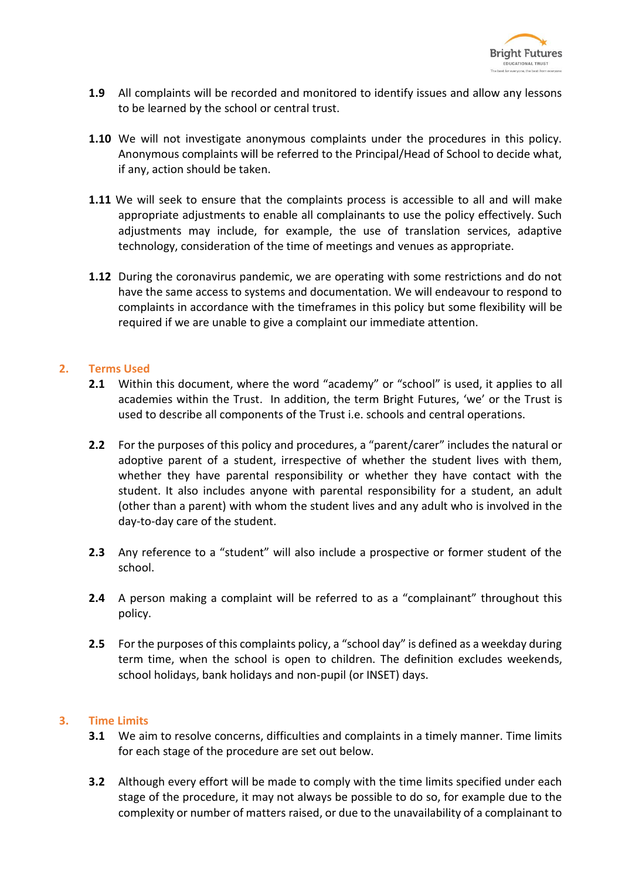

- **1.9** All complaints will be recorded and monitored to identify issues and allow any lessons to be learned by the school or central trust.
- **1.10** We will not investigate anonymous complaints under the procedures in this policy. Anonymous complaints will be referred to the Principal/Head of School to decide what, if any, action should be taken.
- **1.11** We will seek to ensure that the complaints process is accessible to all and will make appropriate adjustments to enable all complainants to use the policy effectively. Such adjustments may include, for example, the use of translation services, adaptive technology, consideration of the time of meetings and venues as appropriate.
- **1.12** During the coronavirus pandemic, we are operating with some restrictions and do not have the same access to systems and documentation. We will endeavour to respond to complaints in accordance with the timeframes in this policy but some flexibility will be required if we are unable to give a complaint our immediate attention.

#### **2. Terms Used**

- **2.1** Within this document, where the word "academy" or "school" is used, it applies to all academies within the Trust. In addition, the term Bright Futures, 'we' or the Trust is used to describe all components of the Trust i.e. schools and central operations.
- **2.2** For the purposes of this policy and procedures, a "parent/carer" includes the natural or adoptive parent of a student, irrespective of whether the student lives with them, whether they have parental responsibility or whether they have contact with the student. It also includes anyone with parental responsibility for a student, an adult (other than a parent) with whom the student lives and any adult who is involved in the day-to-day care of the student.
- **2.3** Any reference to a "student" will also include a prospective or former student of the school.
- **2.4** A person making a complaint will be referred to as a "complainant" throughout this policy.
- **2.5** For the purposes of this complaints policy, a "school day" is defined as a weekday during term time, when the school is open to children. The definition excludes weekends, school holidays, bank holidays and non-pupil (or INSET) days.

#### **3. Time Limits**

- **3.1** We aim to resolve concerns, difficulties and complaints in a timely manner. Time limits for each stage of the procedure are set out below.
- **3.2** Although every effort will be made to comply with the time limits specified under each stage of the procedure, it may not always be possible to do so, for example due to the complexity or number of matters raised, or due to the unavailability of a complainant to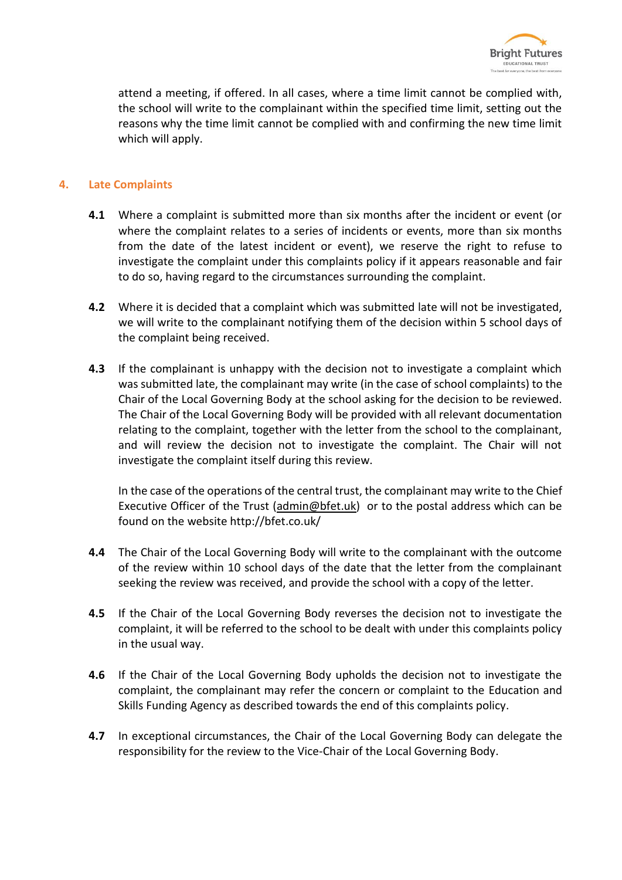

attend a meeting, if offered. In all cases, where a time limit cannot be complied with, the school will write to the complainant within the specified time limit, setting out the reasons why the time limit cannot be complied with and confirming the new time limit which will apply.

#### **4. Late Complaints**

- **4.1** Where a complaint is submitted more than six months after the incident or event (or where the complaint relates to a series of incidents or events, more than six months from the date of the latest incident or event), we reserve the right to refuse to investigate the complaint under this complaints policy if it appears reasonable and fair to do so, having regard to the circumstances surrounding the complaint.
- **4.2** Where it is decided that a complaint which was submitted late will not be investigated, we will write to the complainant notifying them of the decision within 5 school days of the complaint being received.
- **4.3** If the complainant is unhappy with the decision not to investigate a complaint which was submitted late, the complainant may write (in the case of school complaints) to the Chair of the Local Governing Body at the school asking for the decision to be reviewed. The Chair of the Local Governing Body will be provided with all relevant documentation relating to the complaint, together with the letter from the school to the complainant, and will review the decision not to investigate the complaint. The Chair will not investigate the complaint itself during this review.

In the case of the operations of the central trust, the complainant may write to the Chief Executive Officer of the Trust [\(admin@bfet.uk\)](mailto:admin@bfet.uk) or to the postal address which can be found on the website http://bfet.co.uk/

- **4.4** The Chair of the Local Governing Body will write to the complainant with the outcome of the review within 10 school days of the date that the letter from the complainant seeking the review was received, and provide the school with a copy of the letter.
- **4.5** If the Chair of the Local Governing Body reverses the decision not to investigate the complaint, it will be referred to the school to be dealt with under this complaints policy in the usual way.
- **4.6** If the Chair of the Local Governing Body upholds the decision not to investigate the complaint, the complainant may refer the concern or complaint to the Education and Skills Funding Agency as described towards the end of this complaints policy.
- **4.7** In exceptional circumstances, the Chair of the Local Governing Body can delegate the responsibility for the review to the Vice-Chair of the Local Governing Body.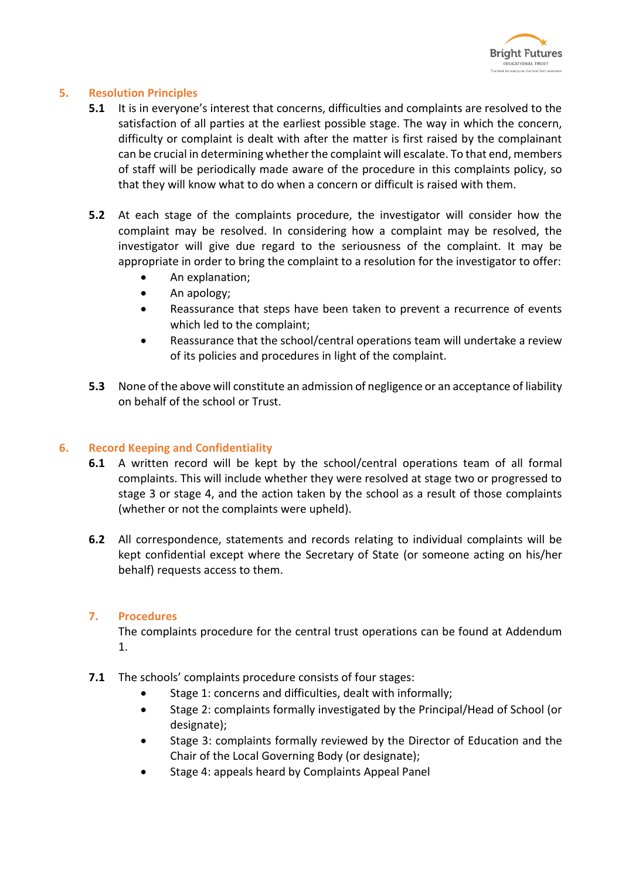

#### **5. Resolution Principles**

- **5.1** It is in everyone's interest that concerns, difficulties and complaints are resolved to the satisfaction of all parties at the earliest possible stage. The way in which the concern, difficulty or complaint is dealt with after the matter is first raised by the complainant can be crucial in determining whether the complaint will escalate. To that end, members of staff will be periodically made aware of the procedure in this complaints policy, so that they will know what to do when a concern or difficult is raised with them.
- **5.2** At each stage of the complaints procedure, the investigator will consider how the complaint may be resolved. In considering how a complaint may be resolved, the investigator will give due regard to the seriousness of the complaint. It may be appropriate in order to bring the complaint to a resolution for the investigator to offer:
	- An explanation;
	- An apology:
	- Reassurance that steps have been taken to prevent a recurrence of events which led to the complaint;
	- Reassurance that the school/central operations team will undertake a review of its policies and procedures in light of the complaint.
- **5.3** None of the above will constitute an admission of negligence or an acceptance of liability on behalf of the school or Trust.

#### **6. Record Keeping and Confidentiality**

- **6.1** A written record will be kept by the school/central operations team of all formal complaints. This will include whether they were resolved at stage two or progressed to stage 3 or stage 4, and the action taken by the school as a result of those complaints (whether or not the complaints were upheld).
- **6.2** All correspondence, statements and records relating to individual complaints will be kept confidential except where the Secretary of State (or someone acting on his/her behalf) requests access to them.

#### **7. Procedures**

The complaints procedure for the central trust operations can be found at Addendum 1.

- **7.1** The schools' complaints procedure consists of four stages:
	- Stage 1: concerns and difficulties, dealt with informally;
	- Stage 2: complaints formally investigated by the Principal/Head of School (or designate);
	- Stage 3: complaints formally reviewed by the Director of Education and the Chair of the Local Governing Body (or designate);
	- Stage 4: appeals heard by Complaints Appeal Panel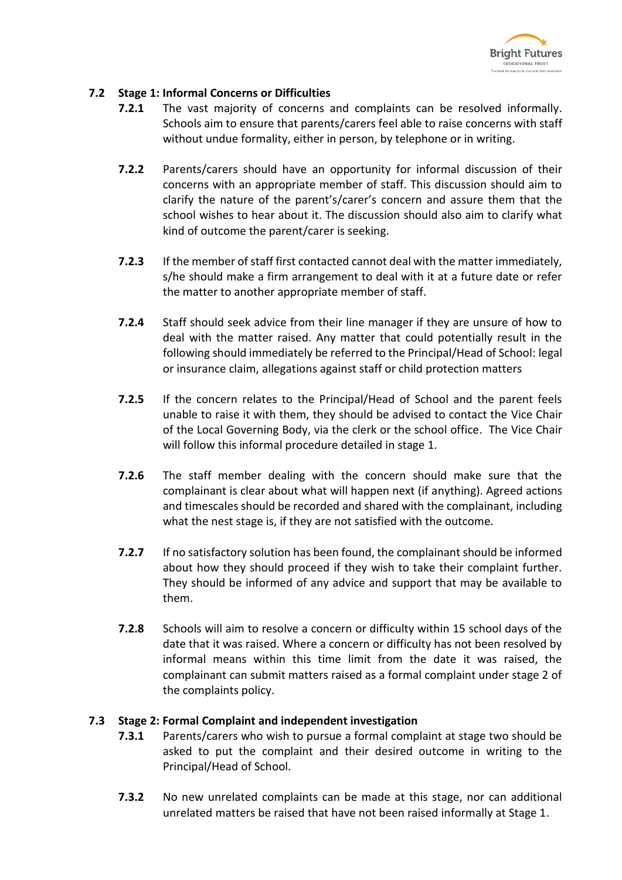

#### <span id="page-7-0"></span>**7.2 Stage 1: Informal Concerns or Difficulties**

- **7.2.1** The vast majority of concerns and complaints can be resolved informally. Schools aim to ensure that parents/carers feel able to raise concerns with staff without undue formality, either in person, by telephone or in writing.
- **7.2.2** Parents/carers should have an opportunity for informal discussion of their concerns with an appropriate member of staff. This discussion should aim to clarify the nature of the parent's/carer's concern and assure them that the school wishes to hear about it. The discussion should also aim to clarify what kind of outcome the parent/carer is seeking.
- **7.2.3** If the member of staff first contacted cannot deal with the matter immediately, s/he should make a firm arrangement to deal with it at a future date or refer the matter to another appropriate member of staff.
- **7.2.4** Staff should seek advice from their line manager if they are unsure of how to deal with the matter raised. Any matter that could potentially result in the following should immediately be referred to the Principal/Head of School: legal or insurance claim, allegations against staff or child protection matters
- **7.2.5** If the concern relates to the Principal/Head of School and the parent feels unable to raise it with them, they should be advised to contact the Vice Chair of the Local Governing Body, via the clerk or the school office. The Vice Chair will follow this informal procedure detailed in stage 1.
- **7.2.6** The staff member dealing with the concern should make sure that the complainant is clear about what will happen next (if anything). Agreed actions and timescales should be recorded and shared with the complainant, including what the nest stage is, if they are not satisfied with the outcome.
- **7.2.7** If no satisfactory solution has been found, the complainant should be informed about how they should proceed if they wish to take their complaint further. They should be informed of any advice and support that may be available to them.
- **7.2.8** Schools will aim to resolve a concern or difficulty within 15 school days of the date that it was raised. Where a concern or difficulty has not been resolved by informal means within this time limit from the date it was raised, the complainant can submit matters raised as a formal complaint under stage 2 of the complaints policy.

#### <span id="page-7-1"></span>**7.3 Stage 2: Formal Complaint and independent investigation**

- **7.3.1** Parents/carers who wish to pursue a formal complaint at stage two should be asked to put the complaint and their desired outcome in writing to the Principal/Head of School.
- **7.3.2** No new unrelated complaints can be made at this stage, nor can additional unrelated matters be raised that have not been raised informally at Stage 1.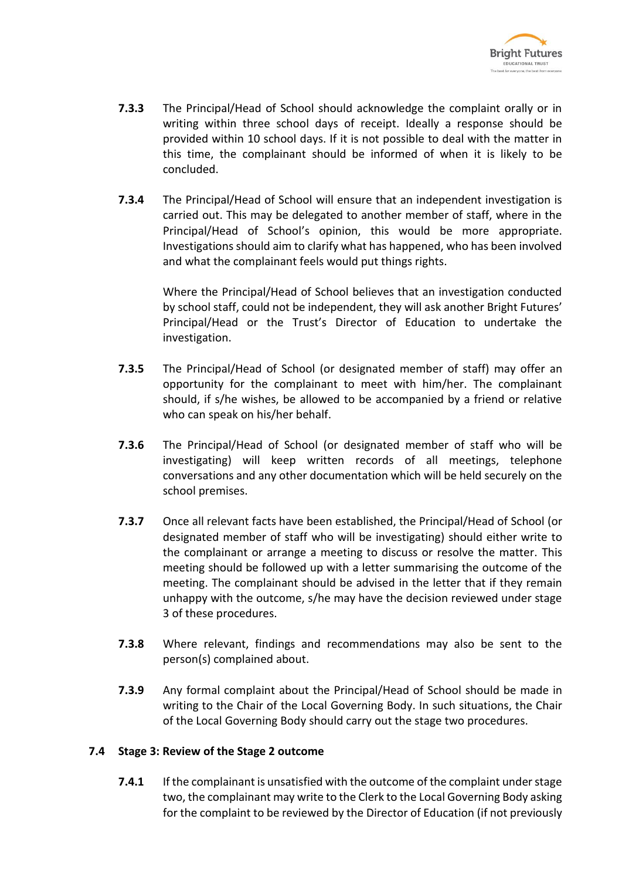

- **7.3.3** The Principal/Head of School should acknowledge the complaint orally or in writing within three school days of receipt. Ideally a response should be provided within 10 school days. If it is not possible to deal with the matter in this time, the complainant should be informed of when it is likely to be concluded.
- **7.3.4** The Principal/Head of School will ensure that an independent investigation is carried out. This may be delegated to another member of staff, where in the Principal/Head of School's opinion, this would be more appropriate. Investigations should aim to clarify what has happened, who has been involved and what the complainant feels would put things rights.

Where the Principal/Head of School believes that an investigation conducted by school staff, could not be independent, they will ask another Bright Futures' Principal/Head or the Trust's Director of Education to undertake the investigation.

- **7.3.5** The Principal/Head of School (or designated member of staff) may offer an opportunity for the complainant to meet with him/her. The complainant should, if s/he wishes, be allowed to be accompanied by a friend or relative who can speak on his/her behalf.
- **7.3.6** The Principal/Head of School (or designated member of staff who will be investigating) will keep written records of all meetings, telephone conversations and any other documentation which will be held securely on the school premises.
- **7.3.7** Once all relevant facts have been established, the Principal/Head of School (or designated member of staff who will be investigating) should either write to the complainant or arrange a meeting to discuss or resolve the matter. This meeting should be followed up with a letter summarising the outcome of the meeting. The complainant should be advised in the letter that if they remain unhappy with the outcome, s/he may have the decision reviewed under stage 3 of these procedures.
- **7.3.8** Where relevant, findings and recommendations may also be sent to the person(s) complained about.
- **7.3.9** Any formal complaint about the Principal/Head of School should be made in writing to the Chair of the Local Governing Body. In such situations, the Chair of the Local Governing Body should carry out the stage two procedures.

#### <span id="page-8-0"></span>**7.4 Stage 3: Review of the Stage 2 outcome**

**7.4.1** If the complainant is unsatisfied with the outcome of the complaint under stage two, the complainant may write to the Clerk to the Local Governing Body asking for the complaint to be reviewed by the Director of Education (if not previously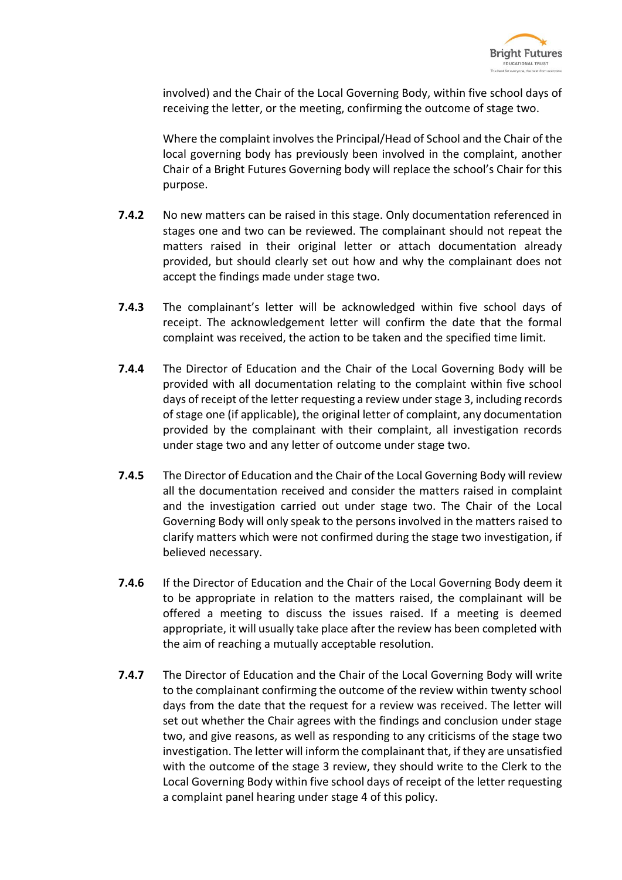

involved) and the Chair of the Local Governing Body, within five school days of receiving the letter, or the meeting, confirming the outcome of stage two.

Where the complaint involves the Principal/Head of School and the Chair of the local governing body has previously been involved in the complaint, another Chair of a Bright Futures Governing body will replace the school's Chair for this purpose.

- **7.4.2** No new matters can be raised in this stage. Only documentation referenced in stages one and two can be reviewed. The complainant should not repeat the matters raised in their original letter or attach documentation already provided, but should clearly set out how and why the complainant does not accept the findings made under stage two.
- **7.4.3** The complainant's letter will be acknowledged within five school days of receipt. The acknowledgement letter will confirm the date that the formal complaint was received, the action to be taken and the specified time limit.
- **7.4.4** The Director of Education and the Chair of the Local Governing Body will be provided with all documentation relating to the complaint within five school days of receipt of the letter requesting a review under stage 3, including records of stage one (if applicable), the original letter of complaint, any documentation provided by the complainant with their complaint, all investigation records under stage two and any letter of outcome under stage two.
- **7.4.5** The Director of Education and the Chair of the Local Governing Body will review all the documentation received and consider the matters raised in complaint and the investigation carried out under stage two. The Chair of the Local Governing Body will only speak to the persons involved in the matters raised to clarify matters which were not confirmed during the stage two investigation, if believed necessary.
- **7.4.6** If the Director of Education and the Chair of the Local Governing Body deem it to be appropriate in relation to the matters raised, the complainant will be offered a meeting to discuss the issues raised. If a meeting is deemed appropriate, it will usually take place after the review has been completed with the aim of reaching a mutually acceptable resolution.
- **7.4.7** The Director of Education and the Chair of the Local Governing Body will write to the complainant confirming the outcome of the review within twenty school days from the date that the request for a review was received. The letter will set out whether the Chair agrees with the findings and conclusion under stage two, and give reasons, as well as responding to any criticisms of the stage two investigation. The letter will inform the complainant that, if they are unsatisfied with the outcome of the stage 3 review, they should write to the Clerk to the Local Governing Body within five school days of receipt of the letter requesting a complaint panel hearing under stage 4 of this policy.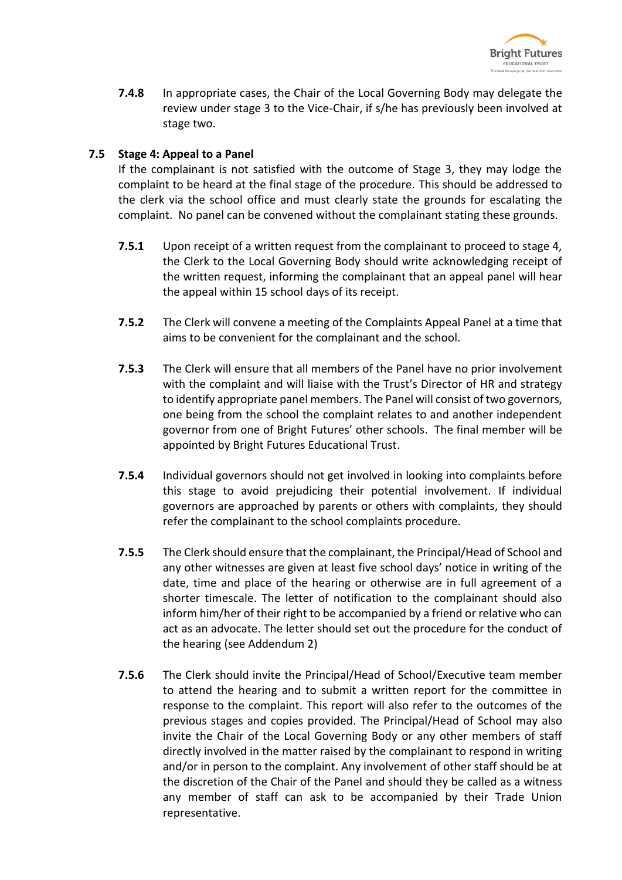

**7.4.8** In appropriate cases, the Chair of the Local Governing Body may delegate the review under stage 3 to the Vice-Chair, if s/he has previously been involved at stage two.

#### <span id="page-10-0"></span>**7.5 Stage 4: Appeal to a Panel**

If the complainant is not satisfied with the outcome of Stage 3, they may lodge the complaint to be heard at the final stage of the procedure. This should be addressed to the clerk via the school office and must clearly state the grounds for escalating the complaint. No panel can be convened without the complainant stating these grounds.

- **7.5.1** Upon receipt of a written request from the complainant to proceed to stage 4, the Clerk to the Local Governing Body should write acknowledging receipt of the written request, informing the complainant that an appeal panel will hear the appeal within 15 school days of its receipt.
- **7.5.2** The Clerk will convene a meeting of the Complaints Appeal Panel at a time that aims to be convenient for the complainant and the school.
- **7.5.3** The Clerk will ensure that all members of the Panel have no prior involvement with the complaint and will liaise with the Trust's Director of HR and strategy to identify appropriate panel members. The Panel will consist of two governors, one being from the school the complaint relates to and another independent governor from one of Bright Futures' other schools. The final member will be appointed by Bright Futures Educational Trust.
- **7.5.4** Individual governors should not get involved in looking into complaints before this stage to avoid prejudicing their potential involvement. If individual governors are approached by parents or others with complaints, they should refer the complainant to the school complaints procedure.
- **7.5.5** The Clerk should ensure that the complainant, the Principal/Head of School and any other witnesses are given at least five school days' notice in writing of the date, time and place of the hearing or otherwise are in full agreement of a shorter timescale. The letter of notification to the complainant should also inform him/her of their right to be accompanied by a friend or relative who can act as an advocate. The letter should set out the procedure for the conduct of the hearing (see Addendum 2)
- **7.5.6** The Clerk should invite the Principal/Head of School/Executive team member to attend the hearing and to submit a written report for the committee in response to the complaint. This report will also refer to the outcomes of the previous stages and copies provided. The Principal/Head of School may also invite the Chair of the Local Governing Body or any other members of staff directly involved in the matter raised by the complainant to respond in writing and/or in person to the complaint. Any involvement of other staff should be at the discretion of the Chair of the Panel and should they be called as a witness any member of staff can ask to be accompanied by their Trade Union representative.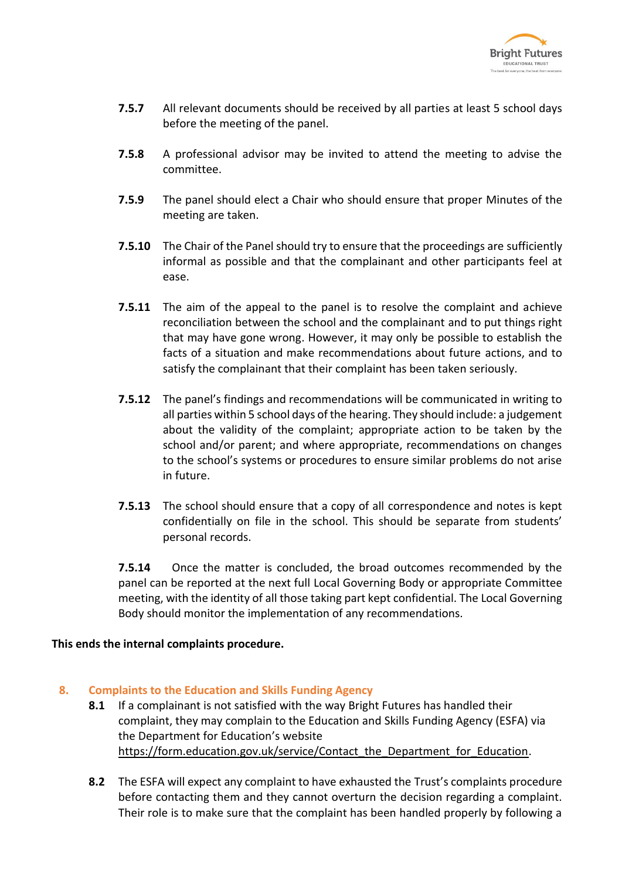

- **7.5.7** All relevant documents should be received by all parties at least 5 school days before the meeting of the panel.
- **7.5.8** A professional advisor may be invited to attend the meeting to advise the committee.
- **7.5.9** The panel should elect a Chair who should ensure that proper Minutes of the meeting are taken.
- **7.5.10** The Chair of the Panel should try to ensure that the proceedings are sufficiently informal as possible and that the complainant and other participants feel at ease.
- **7.5.11** The aim of the appeal to the panel is to resolve the complaint and achieve reconciliation between the school and the complainant and to put things right that may have gone wrong. However, it may only be possible to establish the facts of a situation and make recommendations about future actions, and to satisfy the complainant that their complaint has been taken seriously.
- **7.5.12** The panel's findings and recommendations will be communicated in writing to all parties within 5 school days of the hearing. They should include: a judgement about the validity of the complaint; appropriate action to be taken by the school and/or parent; and where appropriate, recommendations on changes to the school's systems or procedures to ensure similar problems do not arise in future.
- **7.5.13** The school should ensure that a copy of all correspondence and notes is kept confidentially on file in the school. This should be separate from students' personal records.

**7.5.14** Once the matter is concluded, the broad outcomes recommended by the panel can be reported at the next full Local Governing Body or appropriate Committee meeting, with the identity of all those taking part kept confidential. The Local Governing Body should monitor the implementation of any recommendations.

#### **This ends the internal complaints procedure.**

#### **8. Complaints to the Education and Skills Funding Agency**

- **8.1** If a complainant is not satisfied with the way Bright Futures has handled their complaint, they may complain to the Education and Skills Funding Agency (ESFA) via the Department for Education's website [https://form.education.gov.uk/service/Contact\\_the\\_Department\\_for\\_Education.](https://form.education.gov.uk/service/Contact_the_Department_for_Education)
- **8.2** The ESFA will expect any complaint to have exhausted the Trust's complaints procedure before contacting them and they cannot overturn the decision regarding a complaint. Their role is to make sure that the complaint has been handled properly by following a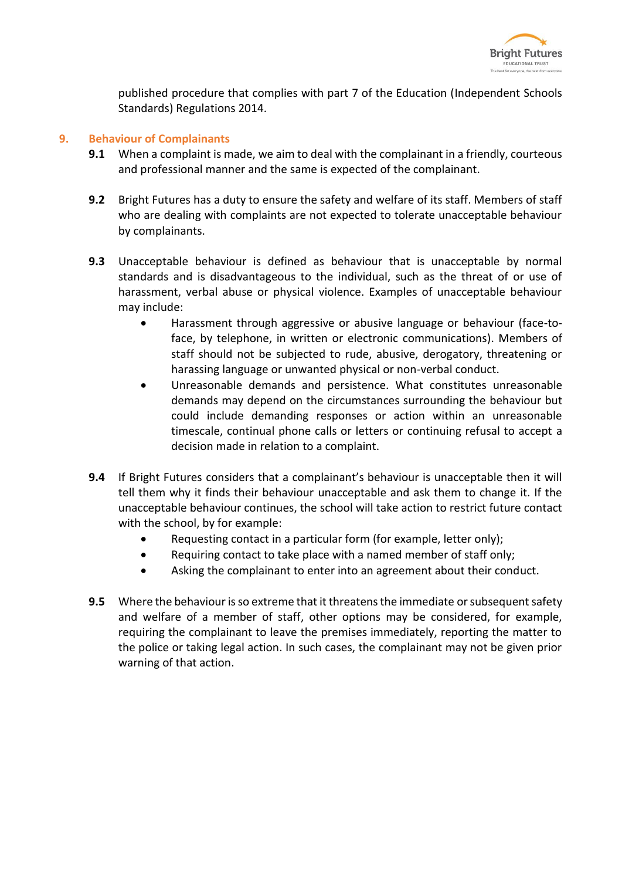

published procedure that complies with part 7 of the Education (Independent Schools Standards) Regulations 2014.

#### **9. Behaviour of Complainants**

- **9.1** When a complaint is made, we aim to deal with the complainant in a friendly, courteous and professional manner and the same is expected of the complainant.
- **9.2** Bright Futures has a duty to ensure the safety and welfare of its staff. Members of staff who are dealing with complaints are not expected to tolerate unacceptable behaviour by complainants.
- **9.3** Unacceptable behaviour is defined as behaviour that is unacceptable by normal standards and is disadvantageous to the individual, such as the threat of or use of harassment, verbal abuse or physical violence. Examples of unacceptable behaviour may include:
	- Harassment through aggressive or abusive language or behaviour (face-toface, by telephone, in written or electronic communications). Members of staff should not be subjected to rude, abusive, derogatory, threatening or harassing language or unwanted physical or non-verbal conduct.
	- Unreasonable demands and persistence. What constitutes unreasonable demands may depend on the circumstances surrounding the behaviour but could include demanding responses or action within an unreasonable timescale, continual phone calls or letters or continuing refusal to accept a decision made in relation to a complaint.
- **9.4** If Bright Futures considers that a complainant's behaviour is unacceptable then it will tell them why it finds their behaviour unacceptable and ask them to change it. If the unacceptable behaviour continues, the school will take action to restrict future contact with the school, by for example:
	- Requesting contact in a particular form (for example, letter only);
	- Requiring contact to take place with a named member of staff only:
	- Asking the complainant to enter into an agreement about their conduct.
- **9.5** Where the behaviour is so extreme that it threatens the immediate or subsequent safety and welfare of a member of staff, other options may be considered, for example, requiring the complainant to leave the premises immediately, reporting the matter to the police or taking legal action. In such cases, the complainant may not be given prior warning of that action.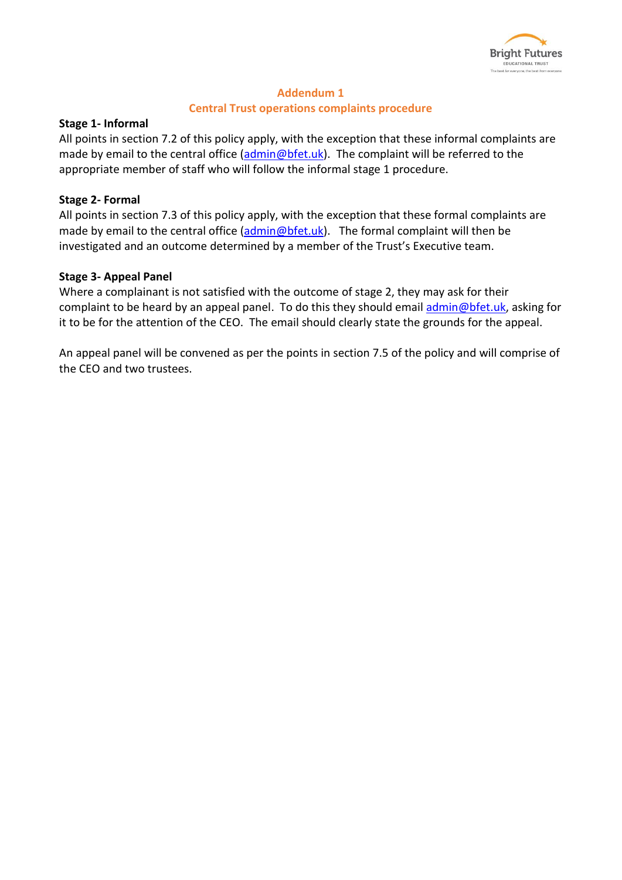

# **Addendum 1**

#### **Central Trust operations complaints procedure**

#### **Stage 1- Informal**

All points in section 7.2 of this policy apply, with the exception that these informal complaints are made by email to the central office [\(admin@bfet.uk\)](mailto:admin@bfet.uk). The complaint will be referred to the appropriate member of staff who will follow the informal stage 1 procedure.

#### **Stage 2- Formal**

All points in section 7.3 of this policy apply, with the exception that these formal complaints are made by email to the central office  $(\frac{\text{admin@bf} \cdot \text{Luk}}{\text{admin@bf} \cdot \text{Luk}})$ . The formal complaint will then be investigated and an outcome determined by a member of the Trust's Executive team.

#### **Stage 3- Appeal Panel**

Where a complainant is not satisfied with the outcome of stage 2, they may ask for their complaint to be heard by an appeal panel. To do this they should email [admin@bfet.uk,](mailto:admin@bfet.uk) asking for it to be for the attention of the CEO. The email should clearly state the grounds for the appeal.

An appeal panel will be convened as per the points in section 7.5 of the policy and will comprise of the CEO and two trustees.